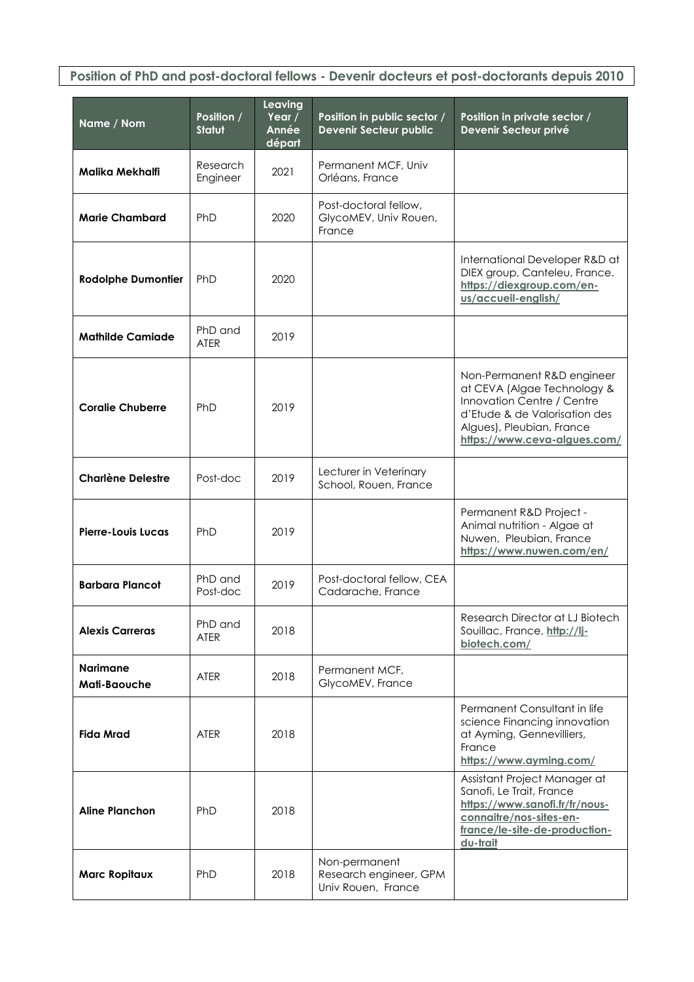**Position of PhD and post-doctoral fellows - Devenir docteurs et post-doctorants depuis 2010**

| Name / Nom                             | Position /<br><b>Statut</b> | Leaving<br>Year /<br>Année<br>départ | Position in public sector /<br><b>Devenir Secteur public</b>  | Position in private sector /<br>Devenir Secteur privé                                                                                                                                 |
|----------------------------------------|-----------------------------|--------------------------------------|---------------------------------------------------------------|---------------------------------------------------------------------------------------------------------------------------------------------------------------------------------------|
| Malika Mekhalfi                        | Research<br>Engineer        | 2021                                 | Permanent MCF, Univ<br>Orléans, France                        |                                                                                                                                                                                       |
| <b>Marie Chambard</b>                  | PhD                         | 2020                                 | Post-doctoral fellow,<br>GlycoMEV, Univ Rouen,<br>France      |                                                                                                                                                                                       |
| <b>Rodolphe Dumontier</b>              | PhD                         | 2020                                 |                                                               | International Developer R&D at<br>DIEX group, Canteleu, France.<br>https://diexgroup.com/en-<br>us/accueil-english/                                                                   |
| <b>Mathilde Camiade</b>                | PhD and<br><b>ATER</b>      | 2019                                 |                                                               |                                                                                                                                                                                       |
| <b>Coralie Chuberre</b>                | PhD                         | 2019                                 |                                                               | Non-Permanent R&D engineer<br>at CEVA (Algae Technology &<br>Innovation Centre / Centre<br>d'Etude & de Valorisation des<br>Algues), Pleubian, France<br>https://www.ceva-algues.com/ |
| <b>Charlène Delestre</b>               | Post-doc                    | 2019                                 | Lecturer in Veterinary<br>School, Rouen, France               |                                                                                                                                                                                       |
| Pierre-Louis Lucas                     | PhD                         | 2019                                 |                                                               | Permanent R&D Project -<br>Animal nutrition - Algae at<br>Nuwen, Pleubian, France<br>https://www.nuwen.com/en/                                                                        |
| <b>Barbara Plancot</b>                 | PhD and<br>Post-doc         | 2019                                 | Post-doctoral fellow, CEA<br>Cadarache, France                |                                                                                                                                                                                       |
| <b>Alexis Carreras</b>                 | PhD and<br><b>ATER</b>      | 2018                                 |                                                               | Research Director at LJ Biotech<br>Souillac, France, http://li-<br>biotech.com/                                                                                                       |
| <b>Narimane</b><br><b>Mati-Baouche</b> | <b>ATER</b>                 | 2018                                 | Permanent MCF,<br>GlycoMEV, France                            |                                                                                                                                                                                       |
| <b>Fida Mrad</b>                       | <b>ATER</b>                 | 2018                                 |                                                               | Permanent Consultant in life<br>science Financing innovation<br>at Ayming, Gennevilliers,<br>France<br>https://www.ayming.com/                                                        |
| <b>Aline Planchon</b>                  | PhD                         | 2018                                 |                                                               | Assistant Project Manager at<br>Sanofi, Le Trait, France<br>https://www.sanofi.fr/fr/nous-<br>connaitre/nos-sites-en-<br>france/le-site-de-production-<br>du-trait                    |
| <b>Marc Ropitaux</b>                   | PhD                         | 2018                                 | Non-permanent<br>Research engineer, GPM<br>Univ Rouen, France |                                                                                                                                                                                       |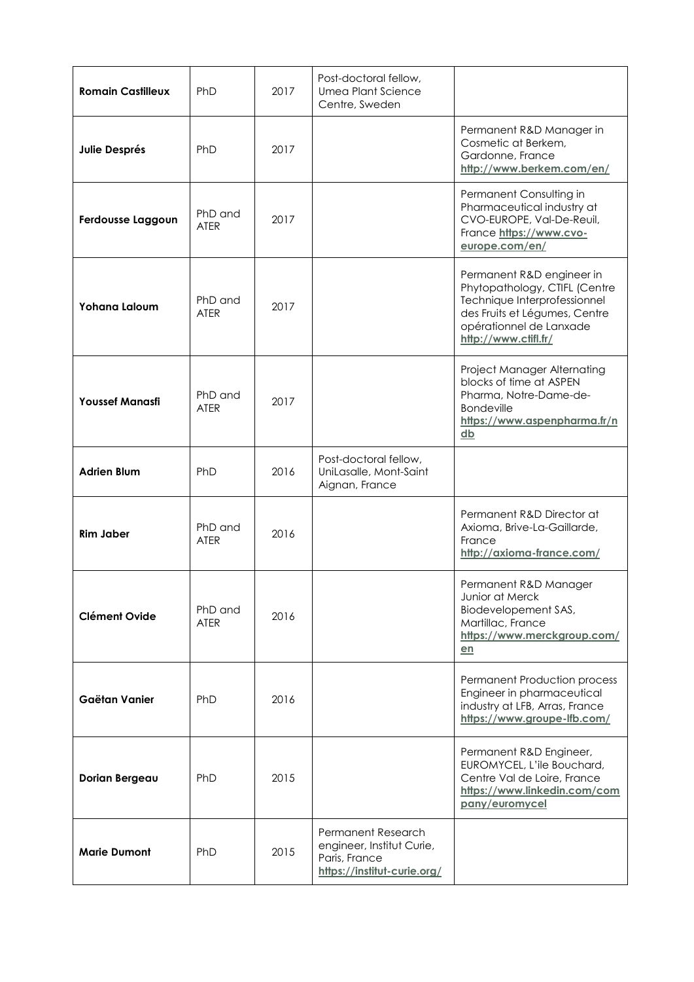| <b>Romain Castilleux</b> | PhD                    | 2017 | Post-doctoral fellow,<br><b>Umea Plant Science</b><br>Centre, Sweden                            |                                                                                                                                                                                |
|--------------------------|------------------------|------|-------------------------------------------------------------------------------------------------|--------------------------------------------------------------------------------------------------------------------------------------------------------------------------------|
| <b>Julie Després</b>     | PhD                    | 2017 |                                                                                                 | Permanent R&D Manager in<br>Cosmetic at Berkem,<br>Gardonne, France<br>http://www.berkem.com/en/                                                                               |
| Ferdousse Laggoun        | PhD and<br><b>ATER</b> | 2017 |                                                                                                 | Permanent Consulting in<br>Pharmaceutical industry at<br>CVO-EUROPE, Val-De-Reuil,<br>France https://www.cvo-<br>europe.com/en/                                                |
| <b>Yohana Laloum</b>     | PhD and<br><b>ATER</b> | 2017 |                                                                                                 | Permanent R&D engineer in<br>Phytopathology, CTIFL (Centre<br>Technique Interprofessionnel<br>des Fruits et Légumes, Centre<br>opérationnel de Lanxade<br>http://www.ctifl.fr/ |
| <b>Youssef Manasfi</b>   | PhD and<br><b>ATER</b> | 2017 |                                                                                                 | Project Manager Alternating<br>blocks of time at ASPEN<br>Pharma, Notre-Dame-de-<br><b>Bondeville</b><br>https://www.aspenpharma.fr/n<br>db                                    |
| <b>Adrien Blum</b>       | PhD                    | 2016 | Post-doctoral fellow,<br>UniLasalle, Mont-Saint<br>Aignan, France                               |                                                                                                                                                                                |
| Rim Jaber                | PhD and<br><b>ATER</b> | 2016 |                                                                                                 | Permanent R&D Director at<br>Axioma, Brive-La-Gaillarde,<br>France<br>http://axioma-france.com/                                                                                |
| <b>Clément Ovide</b>     | PhD and<br><b>ATER</b> | 2016 |                                                                                                 | Permanent R&D Manager<br>Junior at Merck<br>Biodevelopement SAS,<br>Martillac, France<br>https://www.merckgroup.com/<br>en                                                     |
| Gaëtan Vanier            | PhD                    | 2016 |                                                                                                 | <b>Permanent Production process</b><br>Engineer in pharmaceutical<br>industry at LFB, Arras, France<br>https://www.groupe-lfb.com/                                             |
| Dorian Bergeau           | PhD                    | 2015 |                                                                                                 | Permanent R&D Engineer,<br>EUROMYCEL, L'ile Bouchard,<br>Centre Val de Loire, France<br>https://www.linkedin.com/com<br>pany/euromycel                                         |
| <b>Marie Dumont</b>      | PhD                    | 2015 | Permanent Research<br>engineer, Institut Curie,<br>Paris, France<br>https://institut-curie.org/ |                                                                                                                                                                                |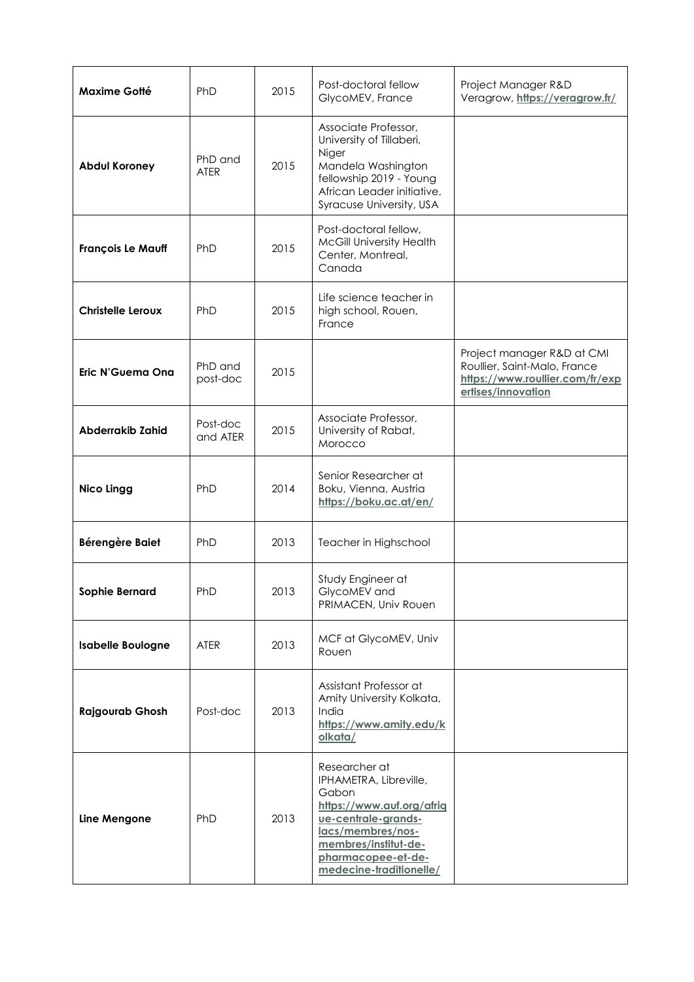| <b>Maxime Gotté</b>      | <b>PhD</b>             | 2015 | Post-doctoral fellow<br>GlycoMEV, France                                                                                                                                                           | Project Manager R&D<br>Veragrow, https://veragrow.fr/                                                               |
|--------------------------|------------------------|------|----------------------------------------------------------------------------------------------------------------------------------------------------------------------------------------------------|---------------------------------------------------------------------------------------------------------------------|
| <b>Abdul Koroney</b>     | PhD and<br><b>ATER</b> | 2015 | Associate Professor,<br>University of Tillaberi,<br>Niger<br>Mandela Washington<br>fellowship 2019 - Young<br>African Leader initiative,<br>Syracuse University, USA                               |                                                                                                                     |
| <b>François Le Mauff</b> | PhD                    | 2015 | Post-doctoral fellow,<br>McGill University Health<br>Center, Montreal,<br>Canada                                                                                                                   |                                                                                                                     |
| <b>Christelle Leroux</b> | PhD                    | 2015 | Life science teacher in<br>high school, Rouen,<br>France                                                                                                                                           |                                                                                                                     |
| Eric N'Guema Ona         | PhD and<br>post-doc    | 2015 |                                                                                                                                                                                                    | Project manager R&D at CMI<br>Roullier, Saint-Malo, France<br>https://www.roullier.com/fr/exp<br>ertises/innovation |
| <b>Abderrakib Zahid</b>  | Post-doc<br>and ATER   | 2015 | Associate Professor,<br>University of Rabat,<br>Morocco                                                                                                                                            |                                                                                                                     |
| <b>Nico Lingg</b>        | PhD                    | 2014 | Senior Researcher at<br>Boku, Vienna, Austria<br>https://boku.ac.at/en/                                                                                                                            |                                                                                                                     |
| Bérengère Baiet          | PhD                    | 2013 | Teacher in Highschool                                                                                                                                                                              |                                                                                                                     |
| <b>Sophie Bernard</b>    | <b>PhD</b>             | 2013 | Study Engineer at<br>GlycoMEV and<br>PRIMACEN, Univ Rouen                                                                                                                                          |                                                                                                                     |
| <b>Isabelle Boulogne</b> | <b>ATER</b>            | 2013 | MCF at GlycoMEV, Univ<br>Rouen                                                                                                                                                                     |                                                                                                                     |
| <b>Rajgourab Ghosh</b>   | Post-doc               | 2013 | Assistant Professor at<br>Amity University Kolkata,<br>India<br>https://www.amity.edu/k<br>olkata/                                                                                                 |                                                                                                                     |
| Line Mengone             | PhD                    | 2013 | Researcher at<br>IPHAMETRA, Libreville,<br>Gabon<br>https://www.auf.org/afrig<br>ue-centrale-grands-<br>lacs/membres/nos-<br>membres/institut-de-<br>pharmacopee-et-de-<br>medecine-traditionelle/ |                                                                                                                     |